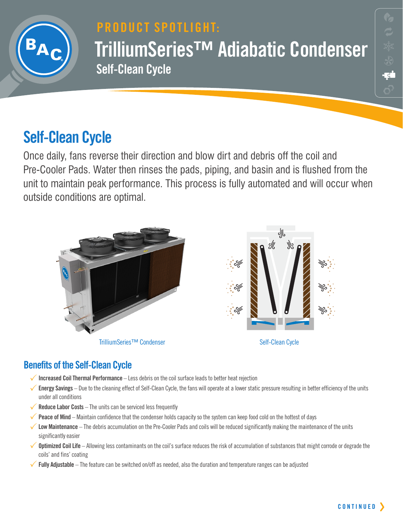

# **PRODUCT SPOTLIGHT: TrilliumSeries™ Adiabatic Condenser Self-Clean Cycle**

# **Self-Clean Cycle**

Once daily, fans reverse their direction and blow dirt and debris off the coil and Pre-Cooler Pads. Water then rinses the pads, piping, and basin and is flushed from the unit to maintain peak performance. This process is fully automated and will occur when outside conditions are optimal.



## **Benefits of the Self-Clean Cycle**

- 3**Increased Coil Thermal Performance** Less debris on the coil surface leads to better heat rejection
- 3**Energy Savings** Due to the cleaning effect of Self-Clean Cycle, the fans will operate at a lower static pressure resulting in better efficiency of the units under all conditions
- ◆ **Reduce Labor Costs** The units can be serviced less frequently
- **Peace of Mind** Maintain confidence that the condenser holds capacity so the system can keep food cold on the hottest of days
- 3**Low Maintenance**  The debris accumulation on the Pre-Cooler Pads and coils will be reduced significantly making the maintenance of the units significantly easier
- **◆ Optimized Coil Life** Allowing less contaminants on the coil's surface reduces the risk of accumulation of substances that might corrode or degrade the coils' and fins' coating
- 3**Fully Adjustable** The feature can be switched on/off as needed, also the duration and temperature ranges can be adjusted

<u>न्द्र</u>